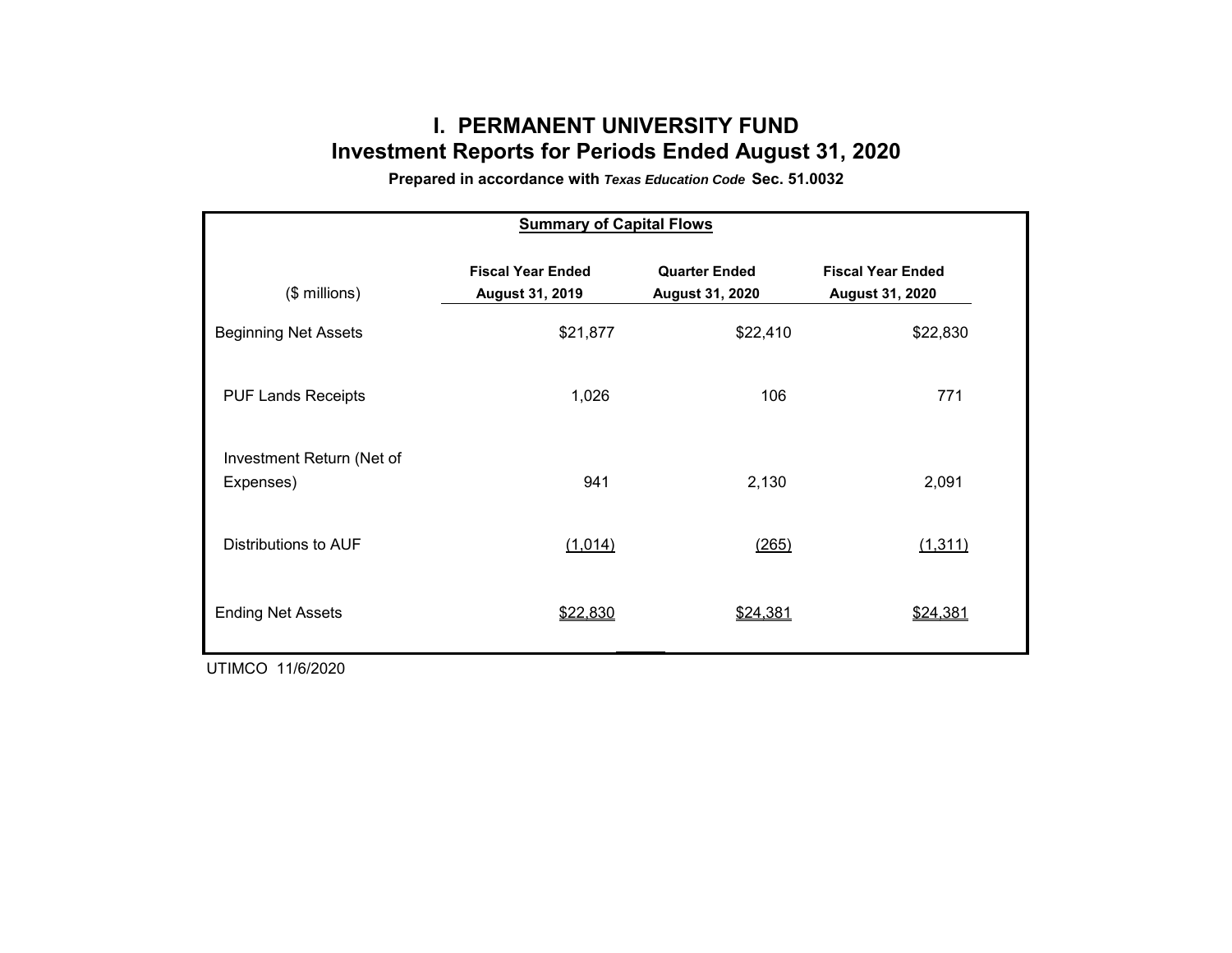# **I. PERMANENT UNIVERSITY FUND Investment Reports for Periods Ended August 31, 2020**

**Prepared in accordance with** *Texas Education Code* **Sec. 51.0032**

| <b>Summary of Capital Flows</b>        |                                             |                                         |                                                    |  |  |  |  |  |  |  |
|----------------------------------------|---------------------------------------------|-----------------------------------------|----------------------------------------------------|--|--|--|--|--|--|--|
| $($$ millions)                         | <b>Fiscal Year Ended</b><br>August 31, 2019 | <b>Quarter Ended</b><br>August 31, 2020 | <b>Fiscal Year Ended</b><br><b>August 31, 2020</b> |  |  |  |  |  |  |  |
| <b>Beginning Net Assets</b>            | \$21,877                                    | \$22,410                                | \$22,830                                           |  |  |  |  |  |  |  |
| <b>PUF Lands Receipts</b>              | 1,026                                       | 106                                     | 771                                                |  |  |  |  |  |  |  |
| Investment Return (Net of<br>Expenses) | 941                                         | 2,130                                   | 2,091                                              |  |  |  |  |  |  |  |
| Distributions to AUF                   | (1,014)                                     | (265)                                   | (1, 311)                                           |  |  |  |  |  |  |  |
| <b>Ending Net Assets</b>               | \$22,830                                    | \$24,381                                | \$24,381                                           |  |  |  |  |  |  |  |

UTIMCO 11/6/2020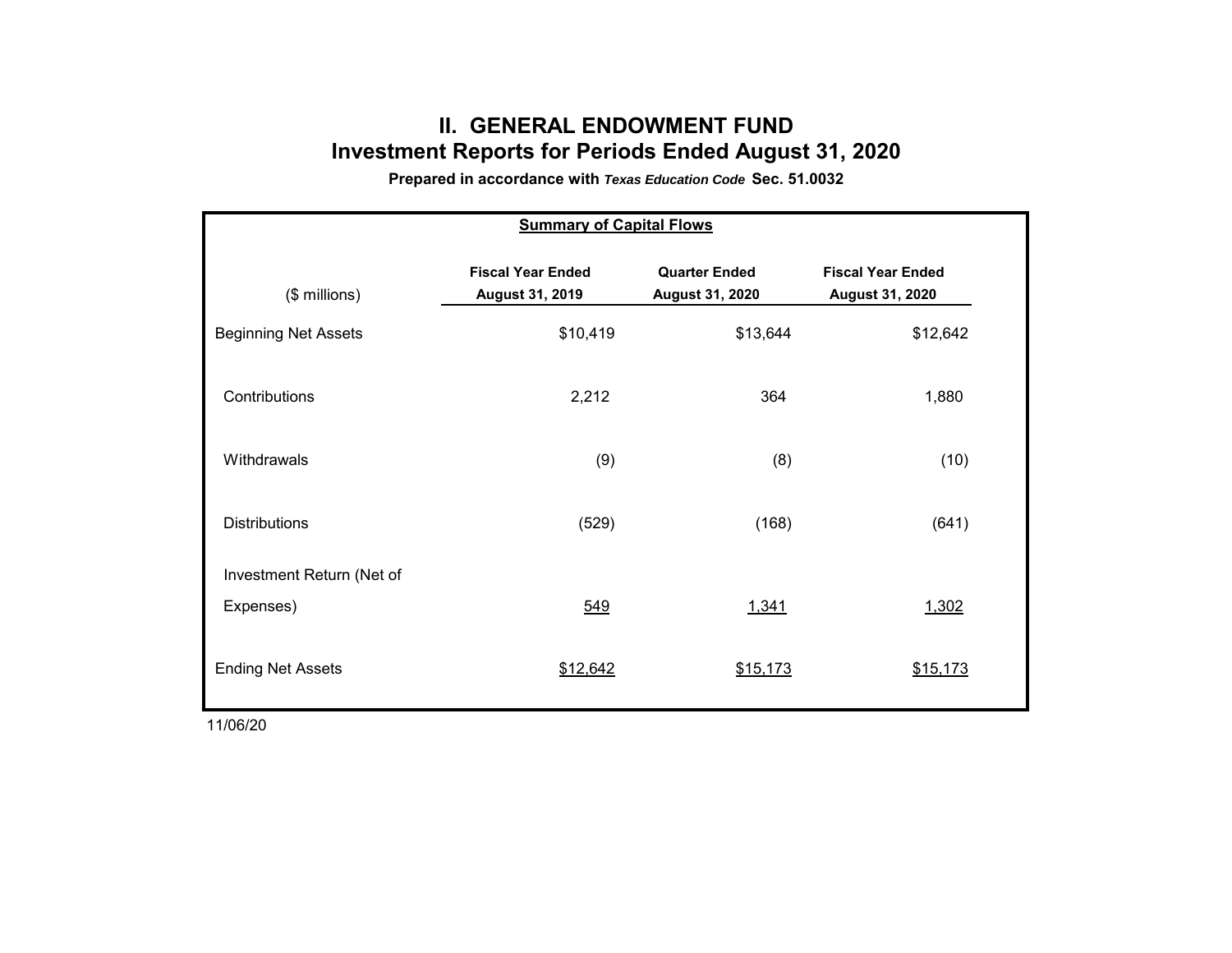## **II. GENERAL ENDOWMENT FUNDInvestment Reports for Periods Ended August 31, 2020**

**Prepared in accordance with** *Texas Education Code* **Sec. 51.0032**

| <b>Summary of Capital Flows</b> |                                                    |                                         |                                             |  |  |  |  |  |  |  |
|---------------------------------|----------------------------------------------------|-----------------------------------------|---------------------------------------------|--|--|--|--|--|--|--|
| (\$ millions)                   | <b>Fiscal Year Ended</b><br><b>August 31, 2019</b> | <b>Quarter Ended</b><br>August 31, 2020 | <b>Fiscal Year Ended</b><br>August 31, 2020 |  |  |  |  |  |  |  |
| <b>Beginning Net Assets</b>     | \$10,419                                           | \$13,644                                | \$12,642                                    |  |  |  |  |  |  |  |
| Contributions                   | 2,212                                              | 364                                     | 1,880                                       |  |  |  |  |  |  |  |
| Withdrawals                     | (9)                                                | (8)                                     | (10)                                        |  |  |  |  |  |  |  |
| <b>Distributions</b>            | (529)                                              | (168)                                   | (641)                                       |  |  |  |  |  |  |  |
| Investment Return (Net of       |                                                    |                                         |                                             |  |  |  |  |  |  |  |
| Expenses)                       | 549                                                | 1,341                                   | 1,302                                       |  |  |  |  |  |  |  |
| <b>Ending Net Assets</b>        | \$12,642                                           | \$15,173                                | \$15,173                                    |  |  |  |  |  |  |  |

11/06/20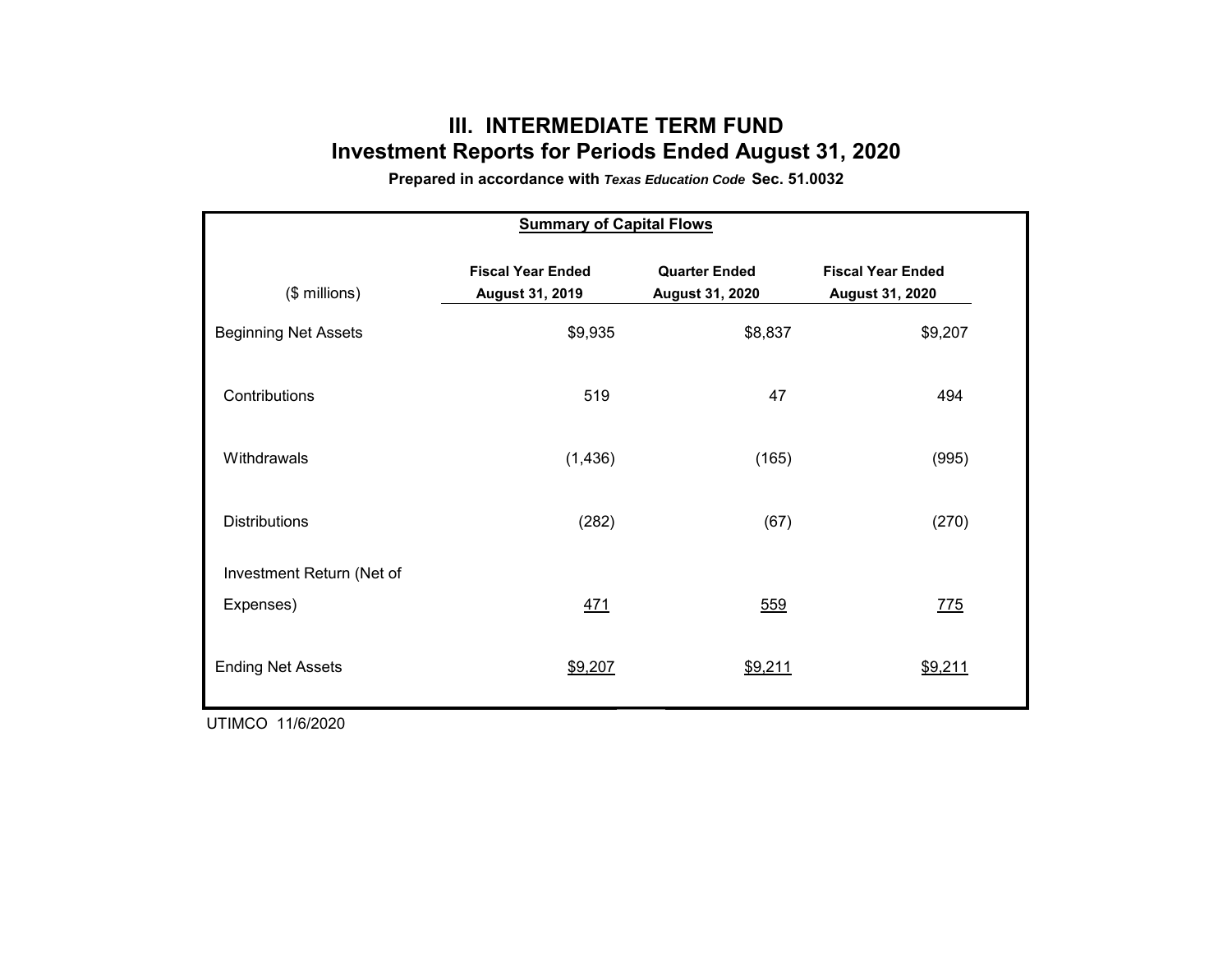## **III. INTERMEDIATE TERM FUNDInvestment Reports for Periods Ended August 31, 2020**

**Prepared in accordance with** *Texas Education Code* **Sec. 51.0032**

| <b>Summary of Capital Flows</b> |                                                    |                                         |                                                    |  |  |  |  |  |  |  |
|---------------------------------|----------------------------------------------------|-----------------------------------------|----------------------------------------------------|--|--|--|--|--|--|--|
| (\$ millions)                   | <b>Fiscal Year Ended</b><br><b>August 31, 2019</b> | <b>Quarter Ended</b><br>August 31, 2020 | <b>Fiscal Year Ended</b><br><b>August 31, 2020</b> |  |  |  |  |  |  |  |
| <b>Beginning Net Assets</b>     | \$9,935                                            | \$8,837                                 | \$9,207                                            |  |  |  |  |  |  |  |
| Contributions                   | 519                                                | 47                                      | 494                                                |  |  |  |  |  |  |  |
| Withdrawals                     | (1, 436)                                           | (165)                                   | (995)                                              |  |  |  |  |  |  |  |
| <b>Distributions</b>            | (282)                                              | (67)                                    | (270)                                              |  |  |  |  |  |  |  |
| Investment Return (Net of       |                                                    |                                         |                                                    |  |  |  |  |  |  |  |
| Expenses)                       | 471                                                | 559                                     | 775                                                |  |  |  |  |  |  |  |
| <b>Ending Net Assets</b>        | \$9,207                                            | \$9,211                                 | \$9,211                                            |  |  |  |  |  |  |  |

UTIMCO 11/6/2020